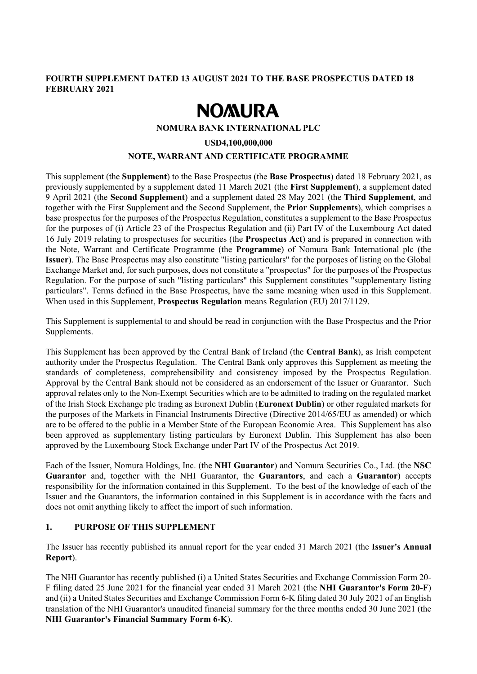# **FOURTH SUPPLEMENT DATED 13 AUGUST 2021 TO THE BASE PROSPECTUS DATED 18 FEBRUARY 2021**

# **NOMURA**

## **NOMURA BANK INTERNATIONAL PLC**

## **USD4,100,000,000**

## **NOTE, WARRANT AND CERTIFICATE PROGRAMME**

This supplement (the **Supplement**) to the Base Prospectus (the **Base Prospectus**) dated 18 February 2021, as previously supplemented by a supplement dated 11 March 2021 (the **First Supplement**), a supplement dated 9 April 2021 (the **Second Supplement**) and a supplement dated 28 May 2021 (the **Third Supplement**, and together with the First Supplement and the Second Supplement, the **Prior Supplements**), which comprises a base prospectus for the purposes of the Prospectus Regulation, constitutes a supplement to the Base Prospectus for the purposes of (i) Article 23 of the Prospectus Regulation and (ii) Part IV of the Luxembourg Act dated 16 July 2019 relating to prospectuses for securities (the **Prospectus Act**) and is prepared in connection with the Note, Warrant and Certificate Programme (the **Programme**) of Nomura Bank International plc (the **Issuer**). The Base Prospectus may also constitute "listing particulars" for the purposes of listing on the Global Exchange Market and, for such purposes, does not constitute a "prospectus" for the purposes of the Prospectus Regulation. For the purpose of such "listing particulars" this Supplement constitutes "supplementary listing particulars". Terms defined in the Base Prospectus, have the same meaning when used in this Supplement. When used in this Supplement, **Prospectus Regulation** means Regulation (EU) 2017/1129.

This Supplement is supplemental to and should be read in conjunction with the Base Prospectus and the Prior Supplements.

This Supplement has been approved by the Central Bank of Ireland (the **Central Bank**), as Irish competent authority under the Prospectus Regulation. The Central Bank only approves this Supplement as meeting the standards of completeness, comprehensibility and consistency imposed by the Prospectus Regulation. Approval by the Central Bank should not be considered as an endorsement of the Issuer or Guarantor. Such approval relates only to the Non-Exempt Securities which are to be admitted to trading on the regulated market of the Irish Stock Exchange plc trading as Euronext Dublin (**Euronext Dublin**) or other regulated markets for the purposes of the Markets in Financial Instruments Directive (Directive 2014/65/EU as amended) or which are to be offered to the public in a Member State of the European Economic Area. This Supplement has also been approved as supplementary listing particulars by Euronext Dublin. This Supplement has also been approved by the Luxembourg Stock Exchange under Part IV of the Prospectus Act 2019.

Each of the Issuer, Nomura Holdings, Inc. (the **NHI Guarantor**) and Nomura Securities Co., Ltd. (the **NSC Guarantor** and, together with the NHI Guarantor, the **Guarantors**, and each a **Guarantor**) accepts responsibility for the information contained in this Supplement. To the best of the knowledge of each of the Issuer and the Guarantors, the information contained in this Supplement is in accordance with the facts and does not omit anything likely to affect the import of such information.

## **1. PURPOSE OF THIS SUPPLEMENT**

The Issuer has recently published its annual report for the year ended 31 March 2021 (the **Issuer's Annual Report**).

The NHI Guarantor has recently published (i) a United States Securities and Exchange Commission Form 20- F filing dated 25 June 2021 for the financial year ended 31 March 2021 (the **NHI Guarantor's Form 20-F**) and (ii) a United States Securities and Exchange Commission Form 6-K filing dated 30 July 2021 of an English translation of the NHI Guarantor's unaudited financial summary for the three months ended 30 June 2021 (the **NHI Guarantor's Financial Summary Form 6-K**).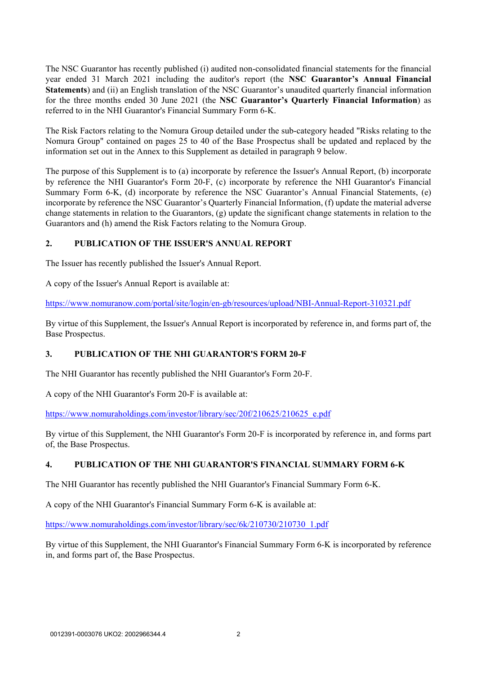The NSC Guarantor has recently published (i) audited non-consolidated financial statements for the financial year ended 31 March 2021 including the auditor's report (the **NSC Guarantor's Annual Financial Statements**) and (ii) an English translation of the NSC Guarantor's unaudited quarterly financial information for the three months ended 30 June 2021 (the **NSC Guarantor's Quarterly Financial Information**) as referred to in the NHI Guarantor's Financial Summary Form 6-K.

The Risk Factors relating to the Nomura Group detailed under the sub-category headed "Risks relating to the Nomura Group" contained on pages 25 to 40 of the Base Prospectus shall be updated and replaced by the information set out in the Annex to this Supplement as detailed in paragraph 9 below.

The purpose of this Supplement is to (a) incorporate by reference the Issuer's Annual Report, (b) incorporate by reference the NHI Guarantor's Form 20-F, (c) incorporate by reference the NHI Guarantor's Financial Summary Form 6-K, (d) incorporate by reference the NSC Guarantor's Annual Financial Statements, (e) incorporate by reference the NSC Guarantor's Quarterly Financial Information, (f) update the material adverse change statements in relation to the Guarantors, (g) update the significant change statements in relation to the Guarantors and (h) amend the Risk Factors relating to the Nomura Group.

# **2. PUBLICATION OF THE ISSUER'S ANNUAL REPORT**

The Issuer has recently published the Issuer's Annual Report.

A copy of the Issuer's Annual Report is available at:

https://www.nomuranow.com/portal/site/login/en-gb/resources/upload/NBI-Annual-Report-310321.pdf

By virtue of this Supplement, the Issuer's Annual Report is incorporated by reference in, and forms part of, the Base Prospectus.

# **3. PUBLICATION OF THE NHI GUARANTOR'S FORM 20-F**

The NHI Guarantor has recently published the NHI Guarantor's Form 20-F.

A copy of the NHI Guarantor's Form 20-F is available at:

https://www.nomuraholdings.com/investor/library/sec/20f/210625/210625\_e.pdf

By virtue of this Supplement, the NHI Guarantor's Form 20-F is incorporated by reference in, and forms part of, the Base Prospectus.

# **4. PUBLICATION OF THE NHI GUARANTOR'S FINANCIAL SUMMARY FORM 6-K**

The NHI Guarantor has recently published the NHI Guarantor's Financial Summary Form 6-K.

A copy of the NHI Guarantor's Financial Summary Form 6-K is available at:

https://www.nomuraholdings.com/investor/library/sec/6k/210730/210730\_1.pdf

By virtue of this Supplement, the NHI Guarantor's Financial Summary Form 6-K is incorporated by reference in, and forms part of, the Base Prospectus.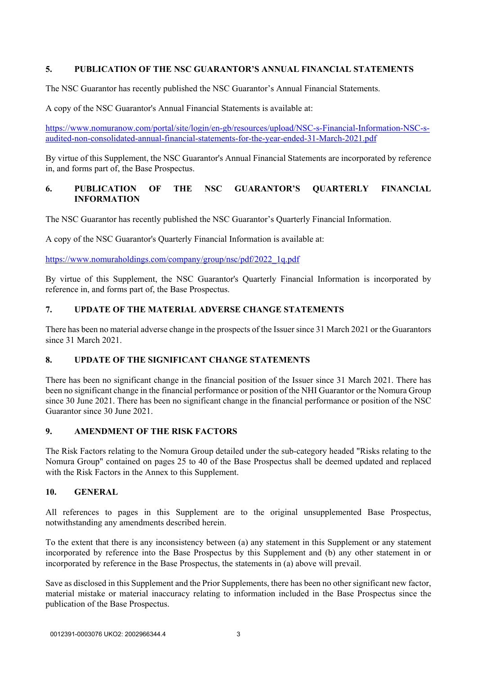# **5. PUBLICATION OF THE NSC GUARANTOR'S ANNUAL FINANCIAL STATEMENTS**

The NSC Guarantor has recently published the NSC Guarantor's Annual Financial Statements.

A copy of the NSC Guarantor's Annual Financial Statements is available at:

https://www.nomuranow.com/portal/site/login/en-gb/resources/upload/NSC-s-Financial-Information-NSC-saudited-non-consolidated-annual-financial-statements-for-the-year-ended-31-March-2021.pdf

By virtue of this Supplement, the NSC Guarantor's Annual Financial Statements are incorporated by reference in, and forms part of, the Base Prospectus.

# **6. PUBLICATION OF THE NSC GUARANTOR'S QUARTERLY FINANCIAL INFORMATION**

The NSC Guarantor has recently published the NSC Guarantor's Quarterly Financial Information.

A copy of the NSC Guarantor's Quarterly Financial Information is available at:

https://www.nomuraholdings.com/company/group/nsc/pdf/2022\_1q.pdf

By virtue of this Supplement, the NSC Guarantor's Quarterly Financial Information is incorporated by reference in, and forms part of, the Base Prospectus.

# **7. UPDATE OF THE MATERIAL ADVERSE CHANGE STATEMENTS**

There has been no material adverse change in the prospects of the Issuer since 31 March 2021 or the Guarantors since 31 March 2021.

# **8. UPDATE OF THE SIGNIFICANT CHANGE STATEMENTS**

There has been no significant change in the financial position of the Issuer since 31 March 2021. There has been no significant change in the financial performance or position of the NHI Guarantor or the Nomura Group since 30 June 2021. There has been no significant change in the financial performance or position of the NSC Guarantor since 30 June 2021.

# **9. AMENDMENT OF THE RISK FACTORS**

The Risk Factors relating to the Nomura Group detailed under the sub-category headed "Risks relating to the Nomura Group" contained on pages 25 to 40 of the Base Prospectus shall be deemed updated and replaced with the Risk Factors in the Annex to this Supplement.

## **10. GENERAL**

All references to pages in this Supplement are to the original unsupplemented Base Prospectus, notwithstanding any amendments described herein.

To the extent that there is any inconsistency between (a) any statement in this Supplement or any statement incorporated by reference into the Base Prospectus by this Supplement and (b) any other statement in or incorporated by reference in the Base Prospectus, the statements in (a) above will prevail.

Save as disclosed in this Supplement and the Prior Supplements, there has been no other significant new factor, material mistake or material inaccuracy relating to information included in the Base Prospectus since the publication of the Base Prospectus.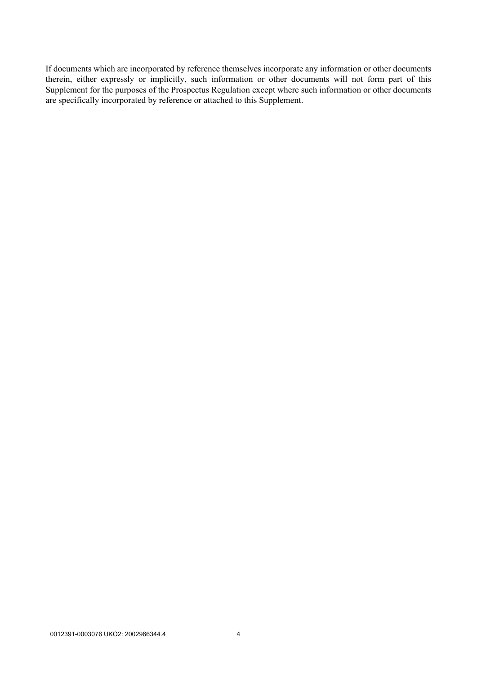If documents which are incorporated by reference themselves incorporate any information or other documents therein, either expressly or implicitly, such information or other documents will not form part of this Supplement for the purposes of the Prospectus Regulation except where such information or other documents are specifically incorporated by reference or attached to this Supplement.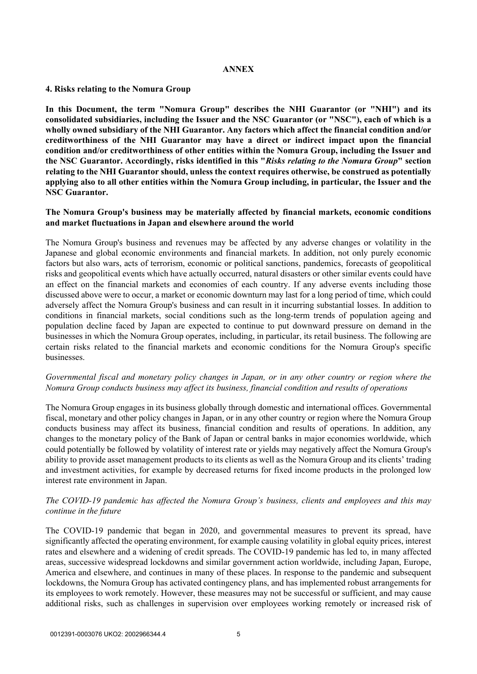#### **ANNEX**

#### **4. Risks relating to the Nomura Group**

**In this Document, the term "Nomura Group" describes the NHI Guarantor (or "NHI") and its consolidated subsidiaries, including the Issuer and the NSC Guarantor (or "NSC"), each of which is a wholly owned subsidiary of the NHI Guarantor. Any factors which affect the financial condition and/or creditworthiness of the NHI Guarantor may have a direct or indirect impact upon the financial condition and/or creditworthiness of other entities within the Nomura Group, including the Issuer and the NSC Guarantor. Accordingly, risks identified in this "***Risks relating to the Nomura Group***" section relating to the NHI Guarantor should, unless the context requires otherwise, be construed as potentially applying also to all other entities within the Nomura Group including, in particular, the Issuer and the NSC Guarantor.** 

## **The Nomura Group's business may be materially affected by financial markets, economic conditions and market fluctuations in Japan and elsewhere around the world**

The Nomura Group's business and revenues may be affected by any adverse changes or volatility in the Japanese and global economic environments and financial markets. In addition, not only purely economic factors but also wars, acts of terrorism, economic or political sanctions, pandemics, forecasts of geopolitical risks and geopolitical events which have actually occurred, natural disasters or other similar events could have an effect on the financial markets and economies of each country. If any adverse events including those discussed above were to occur, a market or economic downturn may last for a long period of time, which could adversely affect the Nomura Group's business and can result in it incurring substantial losses. In addition to conditions in financial markets, social conditions such as the long-term trends of population ageing and population decline faced by Japan are expected to continue to put downward pressure on demand in the businesses in which the Nomura Group operates, including, in particular, its retail business. The following are certain risks related to the financial markets and economic conditions for the Nomura Group's specific businesses.

## *Governmental fiscal and monetary policy changes in Japan, or in any other country or region where the Nomura Group conducts business may affect its business, financial condition and results of operations*

The Nomura Group engages in its business globally through domestic and international offices. Governmental fiscal, monetary and other policy changes in Japan, or in any other country or region where the Nomura Group conducts business may affect its business, financial condition and results of operations. In addition, any changes to the monetary policy of the Bank of Japan or central banks in major economies worldwide, which could potentially be followed by volatility of interest rate or yields may negatively affect the Nomura Group's ability to provide asset management products to its clients as well as the Nomura Group and its clients' trading and investment activities, for example by decreased returns for fixed income products in the prolonged low interest rate environment in Japan.

## *The COVID-19 pandemic has affected the Nomura Group's business, clients and employees and this may continue in the future*

The COVID-19 pandemic that began in 2020, and governmental measures to prevent its spread, have significantly affected the operating environment, for example causing volatility in global equity prices, interest rates and elsewhere and a widening of credit spreads. The COVID-19 pandemic has led to, in many affected areas, successive widespread lockdowns and similar government action worldwide, including Japan, Europe, America and elsewhere, and continues in many of these places. In response to the pandemic and subsequent lockdowns, the Nomura Group has activated contingency plans, and has implemented robust arrangements for its employees to work remotely. However, these measures may not be successful or sufficient, and may cause additional risks, such as challenges in supervision over employees working remotely or increased risk of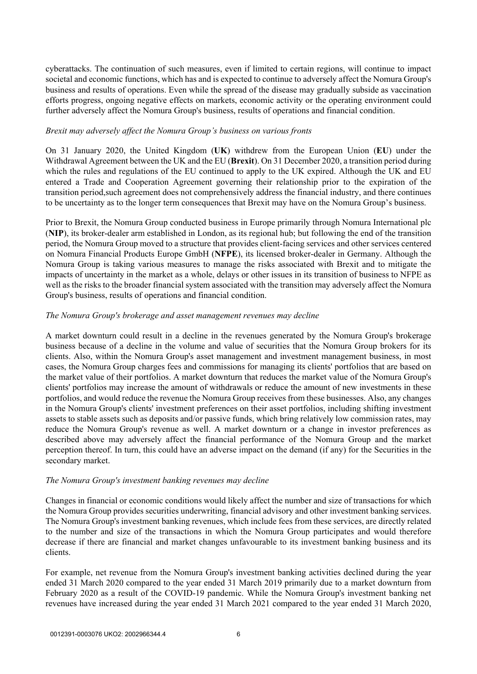cyberattacks. The continuation of such measures, even if limited to certain regions, will continue to impact societal and economic functions, which has and is expected to continue to adversely affect the Nomura Group's business and results of operations. Even while the spread of the disease may gradually subside as vaccination efforts progress, ongoing negative effects on markets, economic activity or the operating environment could further adversely affect the Nomura Group's business, results of operations and financial condition.

#### *Brexit may adversely affect the Nomura Group's business on various fronts*

On 31 January 2020, the United Kingdom (**UK**) withdrew from the European Union (**EU**) under the Withdrawal Agreement between the UK and the EU (**Brexit**). On 31 December 2020, a transition period during which the rules and regulations of the EU continued to apply to the UK expired. Although the UK and EU entered a Trade and Cooperation Agreement governing their relationship prior to the expiration of the transition period,such agreement does not comprehensively address the financial industry, and there continues to be uncertainty as to the longer term consequences that Brexit may have on the Nomura Group's business.

Prior to Brexit, the Nomura Group conducted business in Europe primarily through Nomura International plc (**NIP**), its broker-dealer arm established in London, as its regional hub; but following the end of the transition period, the Nomura Group moved to a structure that provides client-facing services and other services centered on Nomura Financial Products Europe GmbH (**NFPE**), its licensed broker-dealer in Germany. Although the Nomura Group is taking various measures to manage the risks associated with Brexit and to mitigate the impacts of uncertainty in the market as a whole, delays or other issues in its transition of business to NFPE as well as the risks to the broader financial system associated with the transition may adversely affect the Nomura Group's business, results of operations and financial condition.

#### *The Nomura Group's brokerage and asset management revenues may decline*

A market downturn could result in a decline in the revenues generated by the Nomura Group's brokerage business because of a decline in the volume and value of securities that the Nomura Group brokers for its clients. Also, within the Nomura Group's asset management and investment management business, in most cases, the Nomura Group charges fees and commissions for managing its clients' portfolios that are based on the market value of their portfolios. A market downturn that reduces the market value of the Nomura Group's clients' portfolios may increase the amount of withdrawals or reduce the amount of new investments in these portfolios, and would reduce the revenue the Nomura Group receives from these businesses. Also, any changes in the Nomura Group's clients' investment preferences on their asset portfolios, including shifting investment assets to stable assets such as deposits and/or passive funds, which bring relatively low commission rates, may reduce the Nomura Group's revenue as well. A market downturn or a change in investor preferences as described above may adversely affect the financial performance of the Nomura Group and the market perception thereof. In turn, this could have an adverse impact on the demand (if any) for the Securities in the secondary market.

## *The Nomura Group's investment banking revenues may decline*

Changes in financial or economic conditions would likely affect the number and size of transactions for which the Nomura Group provides securities underwriting, financial advisory and other investment banking services. The Nomura Group's investment banking revenues, which include fees from these services, are directly related to the number and size of the transactions in which the Nomura Group participates and would therefore decrease if there are financial and market changes unfavourable to its investment banking business and its clients.

For example, net revenue from the Nomura Group's investment banking activities declined during the year ended 31 March 2020 compared to the year ended 31 March 2019 primarily due to a market downturn from February 2020 as a result of the COVID-19 pandemic. While the Nomura Group's investment banking net revenues have increased during the year ended 31 March 2021 compared to the year ended 31 March 2020,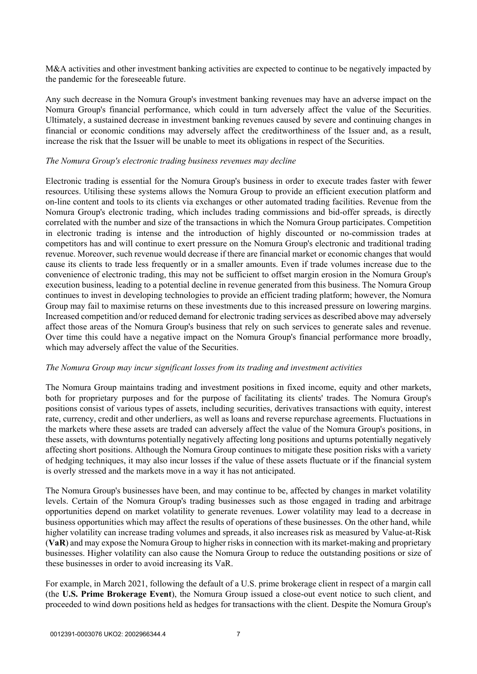M&A activities and other investment banking activities are expected to continue to be negatively impacted by the pandemic for the foreseeable future.

Any such decrease in the Nomura Group's investment banking revenues may have an adverse impact on the Nomura Group's financial performance, which could in turn adversely affect the value of the Securities. Ultimately, a sustained decrease in investment banking revenues caused by severe and continuing changes in financial or economic conditions may adversely affect the creditworthiness of the Issuer and, as a result, increase the risk that the Issuer will be unable to meet its obligations in respect of the Securities.

#### *The Nomura Group's electronic trading business revenues may decline*

Electronic trading is essential for the Nomura Group's business in order to execute trades faster with fewer resources. Utilising these systems allows the Nomura Group to provide an efficient execution platform and on-line content and tools to its clients via exchanges or other automated trading facilities. Revenue from the Nomura Group's electronic trading, which includes trading commissions and bid-offer spreads, is directly correlated with the number and size of the transactions in which the Nomura Group participates. Competition in electronic trading is intense and the introduction of highly discounted or no-commission trades at competitors has and will continue to exert pressure on the Nomura Group's electronic and traditional trading revenue. Moreover, such revenue would decrease if there are financial market or economic changes that would cause its clients to trade less frequently or in a smaller amounts. Even if trade volumes increase due to the convenience of electronic trading, this may not be sufficient to offset margin erosion in the Nomura Group's execution business, leading to a potential decline in revenue generated from this business. The Nomura Group continues to invest in developing technologies to provide an efficient trading platform; however, the Nomura Group may fail to maximise returns on these investments due to this increased pressure on lowering margins. Increased competition and/or reduced demand for electronic trading services as described above may adversely affect those areas of the Nomura Group's business that rely on such services to generate sales and revenue. Over time this could have a negative impact on the Nomura Group's financial performance more broadly, which may adversely affect the value of the Securities.

#### *The Nomura Group may incur significant losses from its trading and investment activities*

The Nomura Group maintains trading and investment positions in fixed income, equity and other markets, both for proprietary purposes and for the purpose of facilitating its clients' trades. The Nomura Group's positions consist of various types of assets, including securities, derivatives transactions with equity, interest rate, currency, credit and other underliers, as well as loans and reverse repurchase agreements. Fluctuations in the markets where these assets are traded can adversely affect the value of the Nomura Group's positions, in these assets, with downturns potentially negatively affecting long positions and upturns potentially negatively affecting short positions. Although the Nomura Group continues to mitigate these position risks with a variety of hedging techniques, it may also incur losses if the value of these assets fluctuate or if the financial system is overly stressed and the markets move in a way it has not anticipated.

The Nomura Group's businesses have been, and may continue to be, affected by changes in market volatility levels. Certain of the Nomura Group's trading businesses such as those engaged in trading and arbitrage opportunities depend on market volatility to generate revenues. Lower volatility may lead to a decrease in business opportunities which may affect the results of operations of these businesses. On the other hand, while higher volatility can increase trading volumes and spreads, it also increases risk as measured by Value-at-Risk (**VaR**) and may expose the Nomura Group to higher risks in connection with its market-making and proprietary businesses. Higher volatility can also cause the Nomura Group to reduce the outstanding positions or size of these businesses in order to avoid increasing its VaR.

For example, in March 2021, following the default of a U.S. prime brokerage client in respect of a margin call (the **U.S. Prime Brokerage Event**), the Nomura Group issued a close-out event notice to such client, and proceeded to wind down positions held as hedges for transactions with the client. Despite the Nomura Group's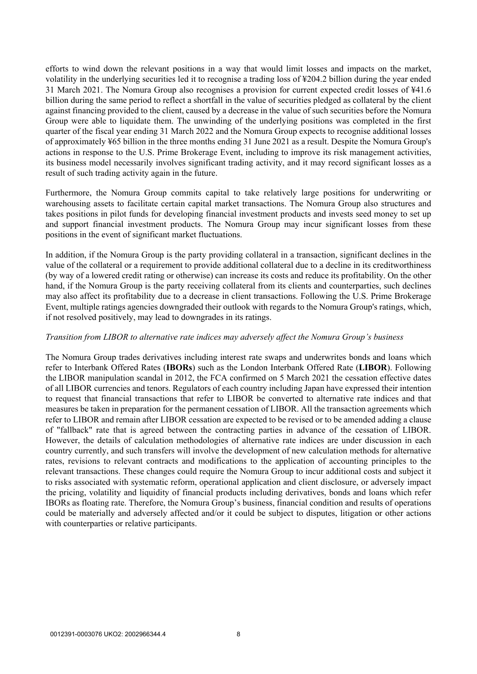efforts to wind down the relevant positions in a way that would limit losses and impacts on the market, volatility in the underlying securities led it to recognise a trading loss of ¥204.2 billion during the year ended 31 March 2021. The Nomura Group also recognises a provision for current expected credit losses of ¥41.6 billion during the same period to reflect a shortfall in the value of securities pledged as collateral by the client against financing provided to the client, caused by a decrease in the value of such securities before the Nomura Group were able to liquidate them. The unwinding of the underlying positions was completed in the first quarter of the fiscal year ending 31 March 2022 and the Nomura Group expects to recognise additional losses of approximately ¥65 billion in the three months ending 31 June 2021 as a result. Despite the Nomura Group's actions in response to the U.S. Prime Brokerage Event, including to improve its risk management activities, its business model necessarily involves significant trading activity, and it may record significant losses as a result of such trading activity again in the future.

Furthermore, the Nomura Group commits capital to take relatively large positions for underwriting or warehousing assets to facilitate certain capital market transactions. The Nomura Group also structures and takes positions in pilot funds for developing financial investment products and invests seed money to set up and support financial investment products. The Nomura Group may incur significant losses from these positions in the event of significant market fluctuations.

In addition, if the Nomura Group is the party providing collateral in a transaction, significant declines in the value of the collateral or a requirement to provide additional collateral due to a decline in its creditworthiness (by way of a lowered credit rating or otherwise) can increase its costs and reduce its profitability. On the other hand, if the Nomura Group is the party receiving collateral from its clients and counterparties, such declines may also affect its profitability due to a decrease in client transactions. Following the U.S. Prime Brokerage Event, multiple ratings agencies downgraded their outlook with regards to the Nomura Group's ratings, which, if not resolved positively, may lead to downgrades in its ratings.

## *Transition from LIBOR to alternative rate indices may adversely affect the Nomura Group's business*

The Nomura Group trades derivatives including interest rate swaps and underwrites bonds and loans which refer to Interbank Offered Rates (**IBORs**) such as the London Interbank Offered Rate (**LIBOR**). Following the LIBOR manipulation scandal in 2012, the FCA confirmed on 5 March 2021 the cessation effective dates of all LIBOR currencies and tenors. Regulators of each country including Japan have expressed their intention to request that financial transactions that refer to LIBOR be converted to alternative rate indices and that measures be taken in preparation for the permanent cessation of LIBOR. All the transaction agreements which refer to LIBOR and remain after LIBOR cessation are expected to be revised or to be amended adding a clause of "fallback" rate that is agreed between the contracting parties in advance of the cessation of LIBOR. However, the details of calculation methodologies of alternative rate indices are under discussion in each country currently, and such transfers will involve the development of new calculation methods for alternative rates, revisions to relevant contracts and modifications to the application of accounting principles to the relevant transactions. These changes could require the Nomura Group to incur additional costs and subject it to risks associated with systematic reform, operational application and client disclosure, or adversely impact the pricing, volatility and liquidity of financial products including derivatives, bonds and loans which refer IBORs as floating rate. Therefore, the Nomura Group's business, financial condition and results of operations could be materially and adversely affected and/or it could be subject to disputes, litigation or other actions with counterparties or relative participants.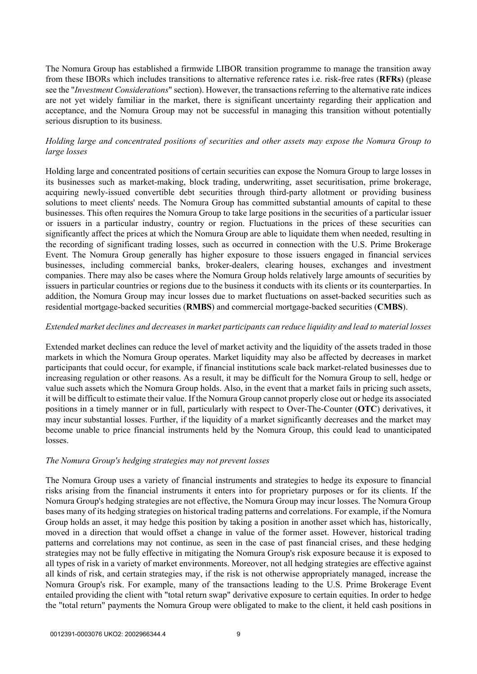The Nomura Group has established a firmwide LIBOR transition programme to manage the transition away from these IBORs which includes transitions to alternative reference rates i.e. risk-free rates (**RFRs**) (please see the "*Investment Considerations*" section). However, the transactions referring to the alternative rate indices are not yet widely familiar in the market, there is significant uncertainty regarding their application and acceptance, and the Nomura Group may not be successful in managing this transition without potentially serious disruption to its business.

## *Holding large and concentrated positions of securities and other assets may expose the Nomura Group to large losses*

Holding large and concentrated positions of certain securities can expose the Nomura Group to large losses in its businesses such as market-making, block trading, underwriting, asset securitisation, prime brokerage, acquiring newly-issued convertible debt securities through third-party allotment or providing business solutions to meet clients' needs. The Nomura Group has committed substantial amounts of capital to these businesses. This often requires the Nomura Group to take large positions in the securities of a particular issuer or issuers in a particular industry, country or region. Fluctuations in the prices of these securities can significantly affect the prices at which the Nomura Group are able to liquidate them when needed, resulting in the recording of significant trading losses, such as occurred in connection with the U.S. Prime Brokerage Event. The Nomura Group generally has higher exposure to those issuers engaged in financial services businesses, including commercial banks, broker-dealers, clearing houses, exchanges and investment companies. There may also be cases where the Nomura Group holds relatively large amounts of securities by issuers in particular countries or regions due to the business it conducts with its clients or its counterparties. In addition, the Nomura Group may incur losses due to market fluctuations on asset-backed securities such as residential mortgage-backed securities (**RMBS**) and commercial mortgage-backed securities (**CMBS**).

#### *Extended market declines and decreases in market participants can reduce liquidity and lead to material losses*

Extended market declines can reduce the level of market activity and the liquidity of the assets traded in those markets in which the Nomura Group operates. Market liquidity may also be affected by decreases in market participants that could occur, for example, if financial institutions scale back market-related businesses due to increasing regulation or other reasons. As a result, it may be difficult for the Nomura Group to sell, hedge or value such assets which the Nomura Group holds. Also, in the event that a market fails in pricing such assets, it will be difficult to estimate their value. If the Nomura Group cannot properly close out or hedge its associated positions in a timely manner or in full, particularly with respect to Over-The-Counter (**OTC**) derivatives, it may incur substantial losses. Further, if the liquidity of a market significantly decreases and the market may become unable to price financial instruments held by the Nomura Group, this could lead to unanticipated losses.

#### *The Nomura Group's hedging strategies may not prevent losses*

The Nomura Group uses a variety of financial instruments and strategies to hedge its exposure to financial risks arising from the financial instruments it enters into for proprietary purposes or for its clients. If the Nomura Group's hedging strategies are not effective, the Nomura Group may incur losses. The Nomura Group bases many of its hedging strategies on historical trading patterns and correlations. For example, if the Nomura Group holds an asset, it may hedge this position by taking a position in another asset which has, historically, moved in a direction that would offset a change in value of the former asset. However, historical trading patterns and correlations may not continue, as seen in the case of past financial crises, and these hedging strategies may not be fully effective in mitigating the Nomura Group's risk exposure because it is exposed to all types of risk in a variety of market environments. Moreover, not all hedging strategies are effective against all kinds of risk, and certain strategies may, if the risk is not otherwise appropriately managed, increase the Nomura Group's risk. For example, many of the transactions leading to the U.S. Prime Brokerage Event entailed providing the client with "total return swap" derivative exposure to certain equities. In order to hedge the "total return" payments the Nomura Group were obligated to make to the client, it held cash positions in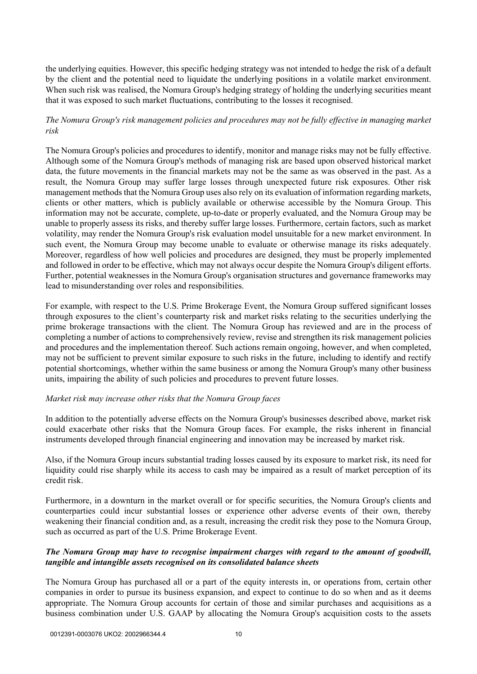the underlying equities. However, this specific hedging strategy was not intended to hedge the risk of a default by the client and the potential need to liquidate the underlying positions in a volatile market environment. When such risk was realised, the Nomura Group's hedging strategy of holding the underlying securities meant that it was exposed to such market fluctuations, contributing to the losses it recognised.

## *The Nomura Group's risk management policies and procedures may not be fully effective in managing market risk*

The Nomura Group's policies and procedures to identify, monitor and manage risks may not be fully effective. Although some of the Nomura Group's methods of managing risk are based upon observed historical market data, the future movements in the financial markets may not be the same as was observed in the past. As a result, the Nomura Group may suffer large losses through unexpected future risk exposures. Other risk management methods that the Nomura Group uses also rely on its evaluation of information regarding markets, clients or other matters, which is publicly available or otherwise accessible by the Nomura Group. This information may not be accurate, complete, up-to-date or properly evaluated, and the Nomura Group may be unable to properly assess its risks, and thereby suffer large losses. Furthermore, certain factors, such as market volatility, may render the Nomura Group's risk evaluation model unsuitable for a new market environment. In such event, the Nomura Group may become unable to evaluate or otherwise manage its risks adequately. Moreover, regardless of how well policies and procedures are designed, they must be properly implemented and followed in order to be effective, which may not always occur despite the Nomura Group's diligent efforts. Further, potential weaknesses in the Nomura Group's organisation structures and governance frameworks may lead to misunderstanding over roles and responsibilities.

For example, with respect to the U.S. Prime Brokerage Event, the Nomura Group suffered significant losses through exposures to the client's counterparty risk and market risks relating to the securities underlying the prime brokerage transactions with the client. The Nomura Group has reviewed and are in the process of completing a number of actions to comprehensively review, revise and strengthen its risk management policies and procedures and the implementation thereof. Such actions remain ongoing, however, and when completed, may not be sufficient to prevent similar exposure to such risks in the future, including to identify and rectify potential shortcomings, whether within the same business or among the Nomura Group's many other business units, impairing the ability of such policies and procedures to prevent future losses.

## *Market risk may increase other risks that the Nomura Group faces*

In addition to the potentially adverse effects on the Nomura Group's businesses described above, market risk could exacerbate other risks that the Nomura Group faces. For example, the risks inherent in financial instruments developed through financial engineering and innovation may be increased by market risk.

Also, if the Nomura Group incurs substantial trading losses caused by its exposure to market risk, its need for liquidity could rise sharply while its access to cash may be impaired as a result of market perception of its credit risk.

Furthermore, in a downturn in the market overall or for specific securities, the Nomura Group's clients and counterparties could incur substantial losses or experience other adverse events of their own, thereby weakening their financial condition and, as a result, increasing the credit risk they pose to the Nomura Group, such as occurred as part of the U.S. Prime Brokerage Event.

## *The Nomura Group may have to recognise impairment charges with regard to the amount of goodwill, tangible and intangible assets recognised on its consolidated balance sheets*

The Nomura Group has purchased all or a part of the equity interests in, or operations from, certain other companies in order to pursue its business expansion, and expect to continue to do so when and as it deems appropriate. The Nomura Group accounts for certain of those and similar purchases and acquisitions as a business combination under U.S. GAAP by allocating the Nomura Group's acquisition costs to the assets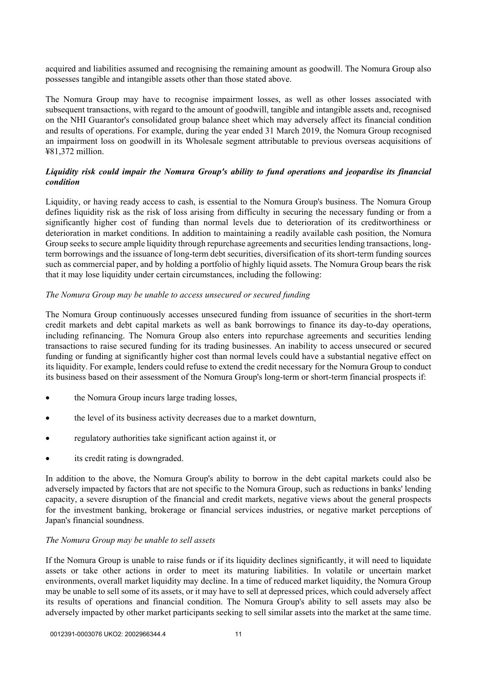acquired and liabilities assumed and recognising the remaining amount as goodwill. The Nomura Group also possesses tangible and intangible assets other than those stated above.

The Nomura Group may have to recognise impairment losses, as well as other losses associated with subsequent transactions, with regard to the amount of goodwill, tangible and intangible assets and, recognised on the NHI Guarantor's consolidated group balance sheet which may adversely affect its financial condition and results of operations. For example, during the year ended 31 March 2019, the Nomura Group recognised an impairment loss on goodwill in its Wholesale segment attributable to previous overseas acquisitions of ¥81,372 million.

# *Liquidity risk could impair the Nomura Group's ability to fund operations and jeopardise its financial condition*

Liquidity, or having ready access to cash, is essential to the Nomura Group's business. The Nomura Group defines liquidity risk as the risk of loss arising from difficulty in securing the necessary funding or from a significantly higher cost of funding than normal levels due to deterioration of its creditworthiness or deterioration in market conditions. In addition to maintaining a readily available cash position, the Nomura Group seeks to secure ample liquidity through repurchase agreements and securities lending transactions, longterm borrowings and the issuance of long-term debt securities, diversification of its short-term funding sources such as commercial paper, and by holding a portfolio of highly liquid assets. The Nomura Group bears the risk that it may lose liquidity under certain circumstances, including the following:

## *The Nomura Group may be unable to access unsecured or secured funding*

The Nomura Group continuously accesses unsecured funding from issuance of securities in the short-term credit markets and debt capital markets as well as bank borrowings to finance its day-to-day operations, including refinancing. The Nomura Group also enters into repurchase agreements and securities lending transactions to raise secured funding for its trading businesses. An inability to access unsecured or secured funding or funding at significantly higher cost than normal levels could have a substantial negative effect on its liquidity. For example, lenders could refuse to extend the credit necessary for the Nomura Group to conduct its business based on their assessment of the Nomura Group's long-term or short-term financial prospects if:

- the Nomura Group incurs large trading losses,
- the level of its business activity decreases due to a market downturn,
- regulatory authorities take significant action against it, or
- its credit rating is downgraded.

In addition to the above, the Nomura Group's ability to borrow in the debt capital markets could also be adversely impacted by factors that are not specific to the Nomura Group, such as reductions in banks' lending capacity, a severe disruption of the financial and credit markets, negative views about the general prospects for the investment banking, brokerage or financial services industries, or negative market perceptions of Japan's financial soundness.

## *The Nomura Group may be unable to sell assets*

If the Nomura Group is unable to raise funds or if its liquidity declines significantly, it will need to liquidate assets or take other actions in order to meet its maturing liabilities. In volatile or uncertain market environments, overall market liquidity may decline. In a time of reduced market liquidity, the Nomura Group may be unable to sell some of its assets, or it may have to sell at depressed prices, which could adversely affect its results of operations and financial condition. The Nomura Group's ability to sell assets may also be adversely impacted by other market participants seeking to sell similar assets into the market at the same time.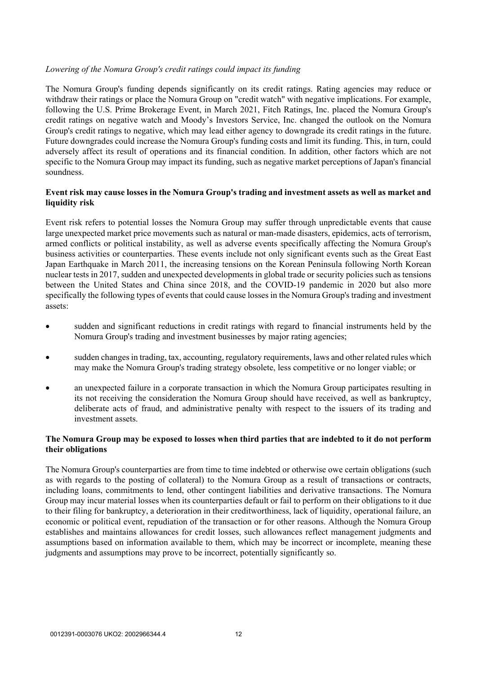## *Lowering of the Nomura Group's credit ratings could impact its funding*

The Nomura Group's funding depends significantly on its credit ratings. Rating agencies may reduce or withdraw their ratings or place the Nomura Group on "credit watch" with negative implications. For example, following the U.S. Prime Brokerage Event, in March 2021, Fitch Ratings, Inc. placed the Nomura Group's credit ratings on negative watch and Moody's Investors Service, Inc. changed the outlook on the Nomura Group's credit ratings to negative, which may lead either agency to downgrade its credit ratings in the future. Future downgrades could increase the Nomura Group's funding costs and limit its funding. This, in turn, could adversely affect its result of operations and its financial condition. In addition, other factors which are not specific to the Nomura Group may impact its funding, such as negative market perceptions of Japan's financial soundness.

## **Event risk may cause losses in the Nomura Group's trading and investment assets as well as market and liquidity risk**

Event risk refers to potential losses the Nomura Group may suffer through unpredictable events that cause large unexpected market price movements such as natural or man-made disasters, epidemics, acts of terrorism, armed conflicts or political instability, as well as adverse events specifically affecting the Nomura Group's business activities or counterparties. These events include not only significant events such as the Great East Japan Earthquake in March 2011, the increasing tensions on the Korean Peninsula following North Korean nuclear tests in 2017, sudden and unexpected developments in global trade or security policies such as tensions between the United States and China since 2018, and the COVID-19 pandemic in 2020 but also more specifically the following types of events that could cause losses in the Nomura Group's trading and investment assets:

- sudden and significant reductions in credit ratings with regard to financial instruments held by the Nomura Group's trading and investment businesses by major rating agencies;
- sudden changes in trading, tax, accounting, regulatory requirements, laws and other related rules which may make the Nomura Group's trading strategy obsolete, less competitive or no longer viable; or
- an unexpected failure in a corporate transaction in which the Nomura Group participates resulting in its not receiving the consideration the Nomura Group should have received, as well as bankruptcy, deliberate acts of fraud, and administrative penalty with respect to the issuers of its trading and investment assets.

# **The Nomura Group may be exposed to losses when third parties that are indebted to it do not perform their obligations**

The Nomura Group's counterparties are from time to time indebted or otherwise owe certain obligations (such as with regards to the posting of collateral) to the Nomura Group as a result of transactions or contracts, including loans, commitments to lend, other contingent liabilities and derivative transactions. The Nomura Group may incur material losses when its counterparties default or fail to perform on their obligations to it due to their filing for bankruptcy, a deterioration in their creditworthiness, lack of liquidity, operational failure, an economic or political event, repudiation of the transaction or for other reasons. Although the Nomura Group establishes and maintains allowances for credit losses, such allowances reflect management judgments and assumptions based on information available to them, which may be incorrect or incomplete, meaning these judgments and assumptions may prove to be incorrect, potentially significantly so.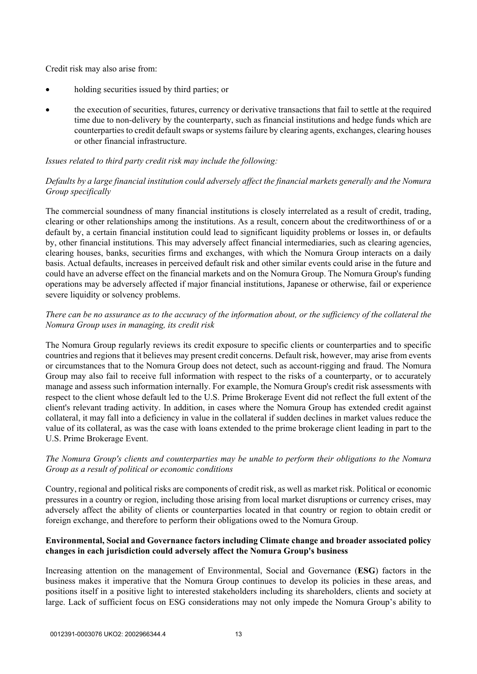Credit risk may also arise from:

- holding securities issued by third parties; or
- the execution of securities, futures, currency or derivative transactions that fail to settle at the required time due to non-delivery by the counterparty, such as financial institutions and hedge funds which are counterparties to credit default swaps or systems failure by clearing agents, exchanges, clearing houses or other financial infrastructure.

## *Issues related to third party credit risk may include the following:*

# *Defaults by a large financial institution could adversely affect the financial markets generally and the Nomura Group specifically*

The commercial soundness of many financial institutions is closely interrelated as a result of credit, trading, clearing or other relationships among the institutions. As a result, concern about the creditworthiness of or a default by, a certain financial institution could lead to significant liquidity problems or losses in, or defaults by, other financial institutions. This may adversely affect financial intermediaries, such as clearing agencies, clearing houses, banks, securities firms and exchanges, with which the Nomura Group interacts on a daily basis. Actual defaults, increases in perceived default risk and other similar events could arise in the future and could have an adverse effect on the financial markets and on the Nomura Group. The Nomura Group's funding operations may be adversely affected if major financial institutions, Japanese or otherwise, fail or experience severe liquidity or solvency problems.

## *There can be no assurance as to the accuracy of the information about, or the sufficiency of the collateral the Nomura Group uses in managing, its credit risk*

The Nomura Group regularly reviews its credit exposure to specific clients or counterparties and to specific countries and regions that it believes may present credit concerns. Default risk, however, may arise from events or circumstances that to the Nomura Group does not detect, such as account-rigging and fraud. The Nomura Group may also fail to receive full information with respect to the risks of a counterparty, or to accurately manage and assess such information internally. For example, the Nomura Group's credit risk assessments with respect to the client whose default led to the U.S. Prime Brokerage Event did not reflect the full extent of the client's relevant trading activity. In addition, in cases where the Nomura Group has extended credit against collateral, it may fall into a deficiency in value in the collateral if sudden declines in market values reduce the value of its collateral, as was the case with loans extended to the prime brokerage client leading in part to the U.S. Prime Brokerage Event.

## *The Nomura Group's clients and counterparties may be unable to perform their obligations to the Nomura Group as a result of political or economic conditions*

Country, regional and political risks are components of credit risk, as well as market risk. Political or economic pressures in a country or region, including those arising from local market disruptions or currency crises, may adversely affect the ability of clients or counterparties located in that country or region to obtain credit or foreign exchange, and therefore to perform their obligations owed to the Nomura Group.

# **Environmental, Social and Governance factors including Climate change and broader associated policy changes in each jurisdiction could adversely affect the Nomura Group's business**

Increasing attention on the management of Environmental, Social and Governance (**ESG**) factors in the business makes it imperative that the Nomura Group continues to develop its policies in these areas, and positions itself in a positive light to interested stakeholders including its shareholders, clients and society at large. Lack of sufficient focus on ESG considerations may not only impede the Nomura Group's ability to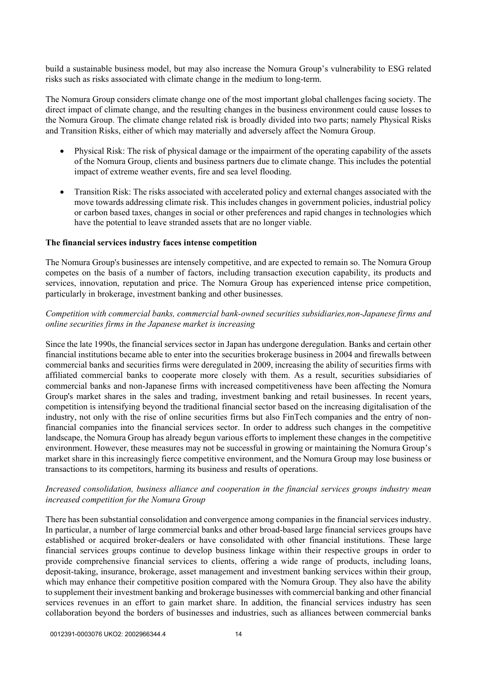build a sustainable business model, but may also increase the Nomura Group's vulnerability to ESG related risks such as risks associated with climate change in the medium to long-term.

The Nomura Group considers climate change one of the most important global challenges facing society. The direct impact of climate change, and the resulting changes in the business environment could cause losses to the Nomura Group. The climate change related risk is broadly divided into two parts; namely Physical Risks and Transition Risks, either of which may materially and adversely affect the Nomura Group.

- Physical Risk: The risk of physical damage or the impairment of the operating capability of the assets of the Nomura Group, clients and business partners due to climate change. This includes the potential impact of extreme weather events, fire and sea level flooding.
- Transition Risk: The risks associated with accelerated policy and external changes associated with the move towards addressing climate risk. This includes changes in government policies, industrial policy or carbon based taxes, changes in social or other preferences and rapid changes in technologies which have the potential to leave stranded assets that are no longer viable.

#### **The financial services industry faces intense competition**

The Nomura Group's businesses are intensely competitive, and are expected to remain so. The Nomura Group competes on the basis of a number of factors, including transaction execution capability, its products and services, innovation, reputation and price. The Nomura Group has experienced intense price competition, particularly in brokerage, investment banking and other businesses.

## *Competition with commercial banks, commercial bank-owned securities subsidiaries,non-Japanese firms and online securities firms in the Japanese market is increasing*

Since the late 1990s, the financial services sector in Japan has undergone deregulation. Banks and certain other financial institutions became able to enter into the securities brokerage business in 2004 and firewalls between commercial banks and securities firms were deregulated in 2009, increasing the ability of securities firms with affiliated commercial banks to cooperate more closely with them. As a result, securities subsidiaries of commercial banks and non-Japanese firms with increased competitiveness have been affecting the Nomura Group's market shares in the sales and trading, investment banking and retail businesses. In recent years, competition is intensifying beyond the traditional financial sector based on the increasing digitalisation of the industry, not only with the rise of online securities firms but also FinTech companies and the entry of nonfinancial companies into the financial services sector. In order to address such changes in the competitive landscape, the Nomura Group has already begun various efforts to implement these changes in the competitive environment. However, these measures may not be successful in growing or maintaining the Nomura Group's market share in this increasingly fierce competitive environment, and the Nomura Group may lose business or transactions to its competitors, harming its business and results of operations.

## *Increased consolidation, business alliance and cooperation in the financial services groups industry mean increased competition for the Nomura Group*

There has been substantial consolidation and convergence among companies in the financial services industry. In particular, a number of large commercial banks and other broad-based large financial services groups have established or acquired broker-dealers or have consolidated with other financial institutions. These large financial services groups continue to develop business linkage within their respective groups in order to provide comprehensive financial services to clients, offering a wide range of products, including loans, deposit-taking, insurance, brokerage, asset management and investment banking services within their group, which may enhance their competitive position compared with the Nomura Group. They also have the ability to supplement their investment banking and brokerage businesses with commercial banking and other financial services revenues in an effort to gain market share. In addition, the financial services industry has seen collaboration beyond the borders of businesses and industries, such as alliances between commercial banks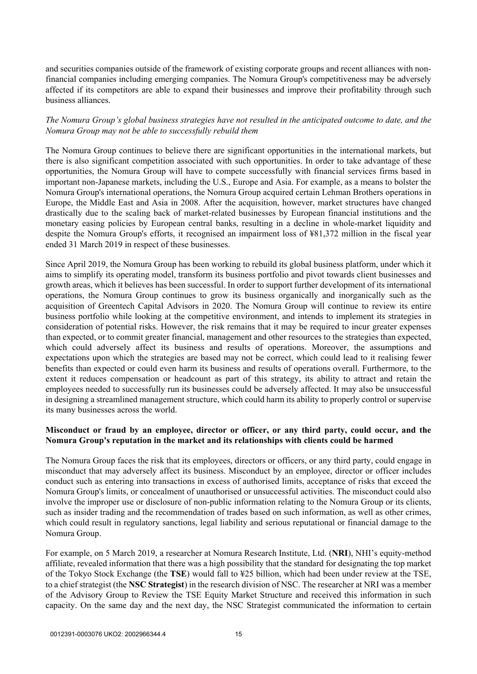and securities companies outside of the framework of existing corporate groups and recent alliances with nonfinancial companies including emerging companies. The Nomura Group's competitiveness may be adversely affected if its competitors are able to expand their businesses and improve their profitability through such business alliances.

## *The Nomura Group's global business strategies have not resulted in the anticipated outcome to date, and the Nomura Group may not be able to successfully rebuild them*

The Nomura Group continues to believe there are significant opportunities in the international markets, but there is also significant competition associated with such opportunities. In order to take advantage of these opportunities, the Nomura Group will have to compete successfully with financial services firms based in important non-Japanese markets, including the U.S., Europe and Asia. For example, as a means to bolster the Nomura Group's international operations, the Nomura Group acquired certain Lehman Brothers operations in Europe, the Middle East and Asia in 2008. After the acquisition, however, market structures have changed drastically due to the scaling back of market-related businesses by European financial institutions and the monetary easing policies by European central banks, resulting in a decline in whole-market liquidity and despite the Nomura Group's efforts, it recognised an impairment loss of ¥81,372 million in the fiscal year ended 31 March 2019 in respect of these businesses.

Since April 2019, the Nomura Group has been working to rebuild its global business platform, under which it aims to simplify its operating model, transform its business portfolio and pivot towards client businesses and growth areas, which it believes has been successful. In order to support further development of its international operations, the Nomura Group continues to grow its business organically and inorganically such as the acquisition of Greentech Capital Advisors in 2020. The Nomura Group will continue to review its entire business portfolio while looking at the competitive environment, and intends to implement its strategies in consideration of potential risks. However, the risk remains that it may be required to incur greater expenses than expected, or to commit greater financial, management and other resources to the strategies than expected, which could adversely affect its business and results of operations. Moreover, the assumptions and expectations upon which the strategies are based may not be correct, which could lead to it realising fewer benefits than expected or could even harm its business and results of operations overall. Furthermore, to the extent it reduces compensation or headcount as part of this strategy, its ability to attract and retain the employees needed to successfully run its businesses could be adversely affected. It may also be unsuccessful in designing a streamlined management structure, which could harm its ability to properly control or supervise its many businesses across the world.

## **Misconduct or fraud by an employee, director or officer, or any third party, could occur, and the Nomura Group's reputation in the market and its relationships with clients could be harmed**

The Nomura Group faces the risk that its employees, directors or officers, or any third party, could engage in misconduct that may adversely affect its business. Misconduct by an employee, director or officer includes conduct such as entering into transactions in excess of authorised limits, acceptance of risks that exceed the Nomura Group's limits, or concealment of unauthorised or unsuccessful activities. The misconduct could also involve the improper use or disclosure of non-public information relating to the Nomura Group or its clients, such as insider trading and the recommendation of trades based on such information, as well as other crimes, which could result in regulatory sanctions, legal liability and serious reputational or financial damage to the Nomura Group.

For example, on 5 March 2019, a researcher at Nomura Research Institute, Ltd. (**NRI**), NHI's equity-method affiliate, revealed information that there was a high possibility that the standard for designating the top market of the Tokyo Stock Exchange (the **TSE**) would fall to ¥25 billion, which had been under review at the TSE, to a chief strategist (the **NSC Strategist**) in the research division of NSC. The researcher at NRI was a member of the Advisory Group to Review the TSE Equity Market Structure and received this information in such capacity. On the same day and the next day, the NSC Strategist communicated the information to certain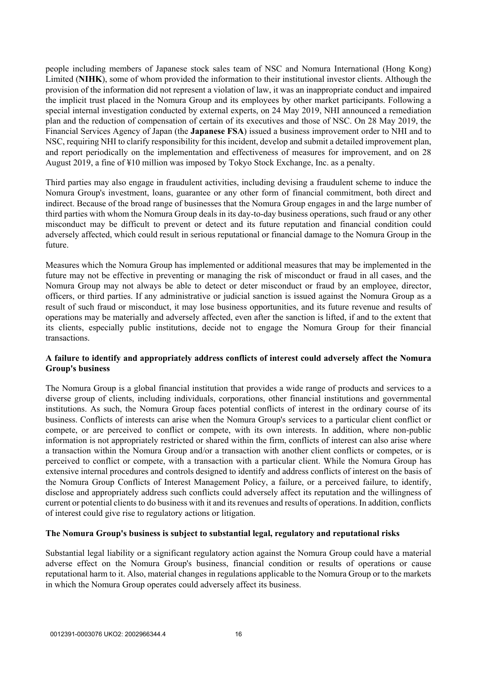people including members of Japanese stock sales team of NSC and Nomura International (Hong Kong) Limited (**NIHK**), some of whom provided the information to their institutional investor clients. Although the provision of the information did not represent a violation of law, it was an inappropriate conduct and impaired the implicit trust placed in the Nomura Group and its employees by other market participants. Following a special internal investigation conducted by external experts, on 24 May 2019, NHI announced a remediation plan and the reduction of compensation of certain of its executives and those of NSC. On 28 May 2019, the Financial Services Agency of Japan (the **Japanese FSA**) issued a business improvement order to NHI and to NSC, requiring NHI to clarify responsibility for this incident, develop and submit a detailed improvement plan, and report periodically on the implementation and effectiveness of measures for improvement, and on 28 August 2019, a fine of ¥10 million was imposed by Tokyo Stock Exchange, Inc. as a penalty.

Third parties may also engage in fraudulent activities, including devising a fraudulent scheme to induce the Nomura Group's investment, loans, guarantee or any other form of financial commitment, both direct and indirect. Because of the broad range of businesses that the Nomura Group engages in and the large number of third parties with whom the Nomura Group deals in its day-to-day business operations, such fraud or any other misconduct may be difficult to prevent or detect and its future reputation and financial condition could adversely affected, which could result in serious reputational or financial damage to the Nomura Group in the future.

Measures which the Nomura Group has implemented or additional measures that may be implemented in the future may not be effective in preventing or managing the risk of misconduct or fraud in all cases, and the Nomura Group may not always be able to detect or deter misconduct or fraud by an employee, director, officers, or third parties. If any administrative or judicial sanction is issued against the Nomura Group as a result of such fraud or misconduct, it may lose business opportunities, and its future revenue and results of operations may be materially and adversely affected, even after the sanction is lifted, if and to the extent that its clients, especially public institutions, decide not to engage the Nomura Group for their financial transactions.

## **A failure to identify and appropriately address conflicts of interest could adversely affect the Nomura Group's business**

The Nomura Group is a global financial institution that provides a wide range of products and services to a diverse group of clients, including individuals, corporations, other financial institutions and governmental institutions. As such, the Nomura Group faces potential conflicts of interest in the ordinary course of its business. Conflicts of interests can arise when the Nomura Group's services to a particular client conflict or compete, or are perceived to conflict or compete, with its own interests. In addition, where non-public information is not appropriately restricted or shared within the firm, conflicts of interest can also arise where a transaction within the Nomura Group and/or a transaction with another client conflicts or competes, or is perceived to conflict or compete, with a transaction with a particular client. While the Nomura Group has extensive internal procedures and controls designed to identify and address conflicts of interest on the basis of the Nomura Group Conflicts of Interest Management Policy, a failure, or a perceived failure, to identify, disclose and appropriately address such conflicts could adversely affect its reputation and the willingness of current or potential clients to do business with it and its revenues and results of operations. In addition, conflicts of interest could give rise to regulatory actions or litigation.

# **The Nomura Group's business is subject to substantial legal, regulatory and reputational risks**

Substantial legal liability or a significant regulatory action against the Nomura Group could have a material adverse effect on the Nomura Group's business, financial condition or results of operations or cause reputational harm to it. Also, material changes in regulations applicable to the Nomura Group or to the markets in which the Nomura Group operates could adversely affect its business.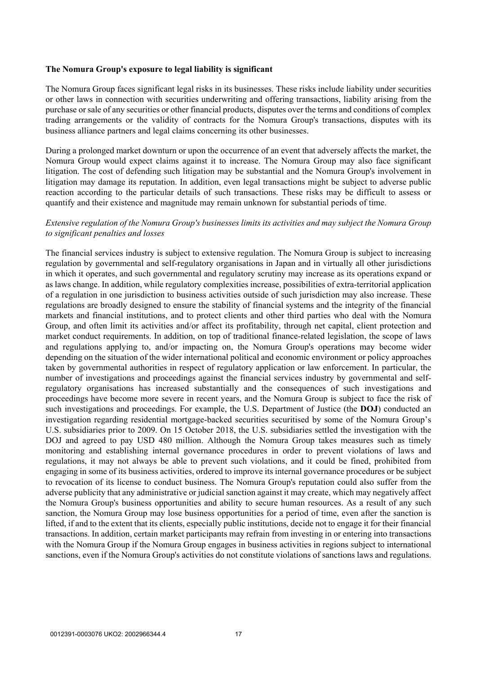#### **The Nomura Group's exposure to legal liability is significant**

The Nomura Group faces significant legal risks in its businesses. These risks include liability under securities or other laws in connection with securities underwriting and offering transactions, liability arising from the purchase or sale of any securities or other financial products, disputes over the terms and conditions of complex trading arrangements or the validity of contracts for the Nomura Group's transactions, disputes with its business alliance partners and legal claims concerning its other businesses.

During a prolonged market downturn or upon the occurrence of an event that adversely affects the market, the Nomura Group would expect claims against it to increase. The Nomura Group may also face significant litigation. The cost of defending such litigation may be substantial and the Nomura Group's involvement in litigation may damage its reputation. In addition, even legal transactions might be subject to adverse public reaction according to the particular details of such transactions. These risks may be difficult to assess or quantify and their existence and magnitude may remain unknown for substantial periods of time.

## *Extensive regulation of the Nomura Group's businesses limits its activities and may subject the Nomura Group to significant penalties and losses*

The financial services industry is subject to extensive regulation. The Nomura Group is subject to increasing regulation by governmental and self-regulatory organisations in Japan and in virtually all other jurisdictions in which it operates, and such governmental and regulatory scrutiny may increase as its operations expand or as laws change. In addition, while regulatory complexities increase, possibilities of extra-territorial application of a regulation in one jurisdiction to business activities outside of such jurisdiction may also increase. These regulations are broadly designed to ensure the stability of financial systems and the integrity of the financial markets and financial institutions, and to protect clients and other third parties who deal with the Nomura Group, and often limit its activities and/or affect its profitability, through net capital, client protection and market conduct requirements. In addition, on top of traditional finance-related legislation, the scope of laws and regulations applying to, and/or impacting on, the Nomura Group's operations may become wider depending on the situation of the wider international political and economic environment or policy approaches taken by governmental authorities in respect of regulatory application or law enforcement. In particular, the number of investigations and proceedings against the financial services industry by governmental and selfregulatory organisations has increased substantially and the consequences of such investigations and proceedings have become more severe in recent years, and the Nomura Group is subject to face the risk of such investigations and proceedings. For example, the U.S. Department of Justice (the **DOJ**) conducted an investigation regarding residential mortgage-backed securities securitised by some of the Nomura Group's U.S. subsidiaries prior to 2009. On 15 October 2018, the U.S. subsidiaries settled the investigation with the DOJ and agreed to pay USD 480 million. Although the Nomura Group takes measures such as timely monitoring and establishing internal governance procedures in order to prevent violations of laws and regulations, it may not always be able to prevent such violations, and it could be fined, prohibited from engaging in some of its business activities, ordered to improve its internal governance procedures or be subject to revocation of its license to conduct business. The Nomura Group's reputation could also suffer from the adverse publicity that any administrative or judicial sanction against it may create, which may negatively affect the Nomura Group's business opportunities and ability to secure human resources. As a result of any such sanction, the Nomura Group may lose business opportunities for a period of time, even after the sanction is lifted, if and to the extent that its clients, especially public institutions, decide not to engage it for their financial transactions. In addition, certain market participants may refrain from investing in or entering into transactions with the Nomura Group if the Nomura Group engages in business activities in regions subject to international sanctions, even if the Nomura Group's activities do not constitute violations of sanctions laws and regulations.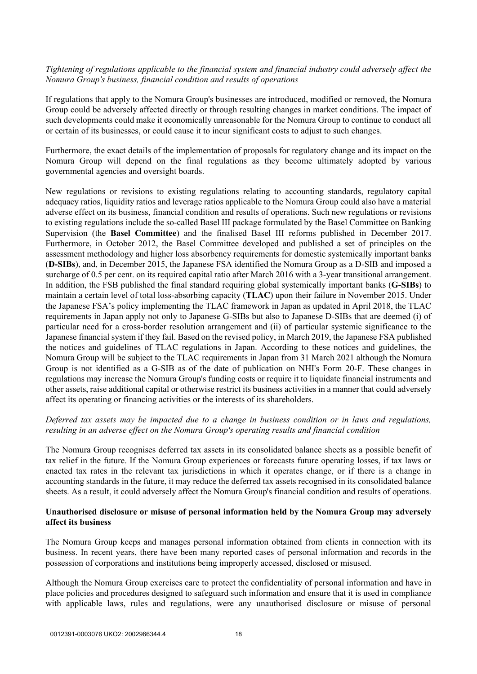## *Tightening of regulations applicable to the financial system and financial industry could adversely affect the Nomura Group's business, financial condition and results of operations*

If regulations that apply to the Nomura Group's businesses are introduced, modified or removed, the Nomura Group could be adversely affected directly or through resulting changes in market conditions. The impact of such developments could make it economically unreasonable for the Nomura Group to continue to conduct all or certain of its businesses, or could cause it to incur significant costs to adjust to such changes.

Furthermore, the exact details of the implementation of proposals for regulatory change and its impact on the Nomura Group will depend on the final regulations as they become ultimately adopted by various governmental agencies and oversight boards.

New regulations or revisions to existing regulations relating to accounting standards, regulatory capital adequacy ratios, liquidity ratios and leverage ratios applicable to the Nomura Group could also have a material adverse effect on its business, financial condition and results of operations. Such new regulations or revisions to existing regulations include the so-called Basel III package formulated by the Basel Committee on Banking Supervision (the **Basel Committee**) and the finalised Basel III reforms published in December 2017. Furthermore, in October 2012, the Basel Committee developed and published a set of principles on the assessment methodology and higher loss absorbency requirements for domestic systemically important banks (**D-SIBs**), and, in December 2015, the Japanese FSA identified the Nomura Group as a D-SIB and imposed a surcharge of 0.5 per cent. on its required capital ratio after March 2016 with a 3-year transitional arrangement. In addition, the FSB published the final standard requiring global systemically important banks (**G-SIBs**) to maintain a certain level of total loss-absorbing capacity (**TLAC**) upon their failure in November 2015. Under the Japanese FSA's policy implementing the TLAC framework in Japan as updated in April 2018, the TLAC requirements in Japan apply not only to Japanese G-SIBs but also to Japanese D-SIBs that are deemed (i) of particular need for a cross-border resolution arrangement and (ii) of particular systemic significance to the Japanese financial system if they fail. Based on the revised policy, in March 2019, the Japanese FSA published the notices and guidelines of TLAC regulations in Japan. According to these notices and guidelines, the Nomura Group will be subject to the TLAC requirements in Japan from 31 March 2021 although the Nomura Group is not identified as a G-SIB as of the date of publication on NHI's Form 20-F. These changes in regulations may increase the Nomura Group's funding costs or require it to liquidate financial instruments and other assets, raise additional capital or otherwise restrict its business activities in a manner that could adversely affect its operating or financing activities or the interests of its shareholders.

## *Deferred tax assets may be impacted due to a change in business condition or in laws and regulations, resulting in an adverse effect on the Nomura Group's operating results and financial condition*

The Nomura Group recognises deferred tax assets in its consolidated balance sheets as a possible benefit of tax relief in the future. If the Nomura Group experiences or forecasts future operating losses, if tax laws or enacted tax rates in the relevant tax jurisdictions in which it operates change, or if there is a change in accounting standards in the future, it may reduce the deferred tax assets recognised in its consolidated balance sheets. As a result, it could adversely affect the Nomura Group's financial condition and results of operations.

## **Unauthorised disclosure or misuse of personal information held by the Nomura Group may adversely affect its business**

The Nomura Group keeps and manages personal information obtained from clients in connection with its business. In recent years, there have been many reported cases of personal information and records in the possession of corporations and institutions being improperly accessed, disclosed or misused.

Although the Nomura Group exercises care to protect the confidentiality of personal information and have in place policies and procedures designed to safeguard such information and ensure that it is used in compliance with applicable laws, rules and regulations, were any unauthorised disclosure or misuse of personal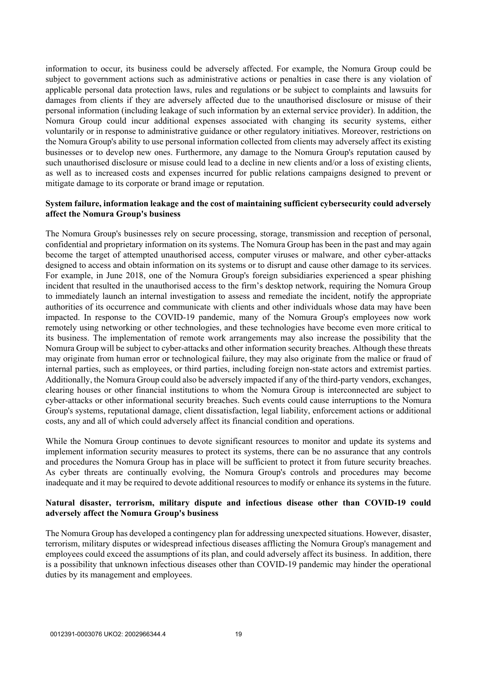information to occur, its business could be adversely affected. For example, the Nomura Group could be subject to government actions such as administrative actions or penalties in case there is any violation of applicable personal data protection laws, rules and regulations or be subject to complaints and lawsuits for damages from clients if they are adversely affected due to the unauthorised disclosure or misuse of their personal information (including leakage of such information by an external service provider). In addition, the Nomura Group could incur additional expenses associated with changing its security systems, either voluntarily or in response to administrative guidance or other regulatory initiatives. Moreover, restrictions on the Nomura Group's ability to use personal information collected from clients may adversely affect its existing businesses or to develop new ones. Furthermore, any damage to the Nomura Group's reputation caused by such unauthorised disclosure or misuse could lead to a decline in new clients and/or a loss of existing clients, as well as to increased costs and expenses incurred for public relations campaigns designed to prevent or mitigate damage to its corporate or brand image or reputation.

#### **System failure, information leakage and the cost of maintaining sufficient cybersecurity could adversely affect the Nomura Group's business**

The Nomura Group's businesses rely on secure processing, storage, transmission and reception of personal, confidential and proprietary information on its systems. The Nomura Group has been in the past and may again become the target of attempted unauthorised access, computer viruses or malware, and other cyber-attacks designed to access and obtain information on its systems or to disrupt and cause other damage to its services. For example, in June 2018, one of the Nomura Group's foreign subsidiaries experienced a spear phishing incident that resulted in the unauthorised access to the firm's desktop network, requiring the Nomura Group to immediately launch an internal investigation to assess and remediate the incident, notify the appropriate authorities of its occurrence and communicate with clients and other individuals whose data may have been impacted. In response to the COVID-19 pandemic, many of the Nomura Group's employees now work remotely using networking or other technologies, and these technologies have become even more critical to its business. The implementation of remote work arrangements may also increase the possibility that the Nomura Group will be subject to cyber-attacks and other information security breaches. Although these threats may originate from human error or technological failure, they may also originate from the malice or fraud of internal parties, such as employees, or third parties, including foreign non-state actors and extremist parties. Additionally, the Nomura Group could also be adversely impacted if any of the third-party vendors, exchanges, clearing houses or other financial institutions to whom the Nomura Group is interconnected are subject to cyber-attacks or other informational security breaches. Such events could cause interruptions to the Nomura Group's systems, reputational damage, client dissatisfaction, legal liability, enforcement actions or additional costs, any and all of which could adversely affect its financial condition and operations.

While the Nomura Group continues to devote significant resources to monitor and update its systems and implement information security measures to protect its systems, there can be no assurance that any controls and procedures the Nomura Group has in place will be sufficient to protect it from future security breaches. As cyber threats are continually evolving, the Nomura Group's controls and procedures may become inadequate and it may be required to devote additional resources to modify or enhance its systems in the future.

## **Natural disaster, terrorism, military dispute and infectious disease other than COVID-19 could adversely affect the Nomura Group's business**

The Nomura Group has developed a contingency plan for addressing unexpected situations. However, disaster, terrorism, military disputes or widespread infectious diseases afflicting the Nomura Group's management and employees could exceed the assumptions of its plan, and could adversely affect its business. In addition, there is a possibility that unknown infectious diseases other than COVID-19 pandemic may hinder the operational duties by its management and employees.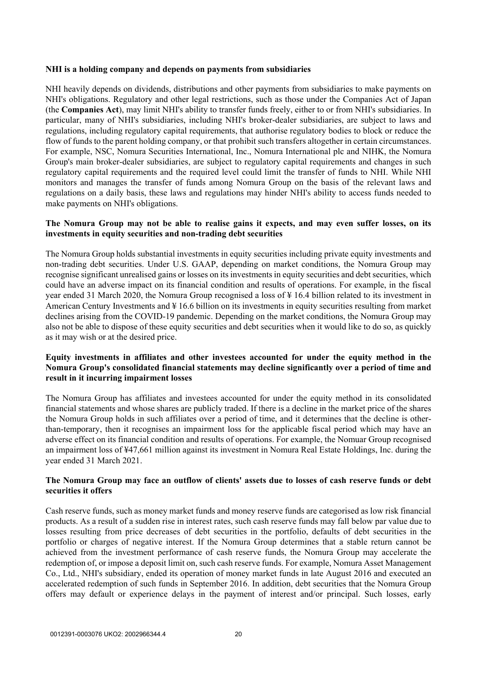#### **NHI is a holding company and depends on payments from subsidiaries**

NHI heavily depends on dividends, distributions and other payments from subsidiaries to make payments on NHI's obligations. Regulatory and other legal restrictions, such as those under the Companies Act of Japan (the **Companies Act**), may limit NHI's ability to transfer funds freely, either to or from NHI's subsidiaries. In particular, many of NHI's subsidiaries, including NHI's broker-dealer subsidiaries, are subject to laws and regulations, including regulatory capital requirements, that authorise regulatory bodies to block or reduce the flow of funds to the parent holding company, or that prohibit such transfers altogether in certain circumstances. For example, NSC, Nomura Securities International, Inc., Nomura International plc and NIHK, the Nomura Group's main broker-dealer subsidiaries, are subject to regulatory capital requirements and changes in such regulatory capital requirements and the required level could limit the transfer of funds to NHI. While NHI monitors and manages the transfer of funds among Nomura Group on the basis of the relevant laws and regulations on a daily basis, these laws and regulations may hinder NHI's ability to access funds needed to make payments on NHI's obligations.

## **The Nomura Group may not be able to realise gains it expects, and may even suffer losses, on its investments in equity securities and non-trading debt securities**

The Nomura Group holds substantial investments in equity securities including private equity investments and non-trading debt securities. Under U.S. GAAP, depending on market conditions, the Nomura Group may recognise significant unrealised gains or losses on its investments in equity securities and debt securities, which could have an adverse impact on its financial condition and results of operations. For example, in the fiscal year ended 31 March 2020, the Nomura Group recognised a loss of ¥ 16.4 billion related to its investment in American Century Investments and ¥ 16.6 billion on its investments in equity securities resulting from market declines arising from the COVID-19 pandemic. Depending on the market conditions, the Nomura Group may also not be able to dispose of these equity securities and debt securities when it would like to do so, as quickly as it may wish or at the desired price.

## **Equity investments in affiliates and other investees accounted for under the equity method in the Nomura Group's consolidated financial statements may decline significantly over a period of time and result in it incurring impairment losses**

The Nomura Group has affiliates and investees accounted for under the equity method in its consolidated financial statements and whose shares are publicly traded. If there is a decline in the market price of the shares the Nomura Group holds in such affiliates over a period of time, and it determines that the decline is otherthan-temporary, then it recognises an impairment loss for the applicable fiscal period which may have an adverse effect on its financial condition and results of operations. For example, the Nomuar Group recognised an impairment loss of ¥47,661 million against its investment in Nomura Real Estate Holdings, Inc. during the year ended 31 March 2021.

## **The Nomura Group may face an outflow of clients' assets due to losses of cash reserve funds or debt securities it offers**

Cash reserve funds, such as money market funds and money reserve funds are categorised as low risk financial products. As a result of a sudden rise in interest rates, such cash reserve funds may fall below par value due to losses resulting from price decreases of debt securities in the portfolio, defaults of debt securities in the portfolio or charges of negative interest. If the Nomura Group determines that a stable return cannot be achieved from the investment performance of cash reserve funds, the Nomura Group may accelerate the redemption of, or impose a deposit limit on, such cash reserve funds. For example, Nomura Asset Management Co., Ltd., NHI's subsidiary, ended its operation of money market funds in late August 2016 and executed an accelerated redemption of such funds in September 2016. In addition, debt securities that the Nomura Group offers may default or experience delays in the payment of interest and/or principal. Such losses, early